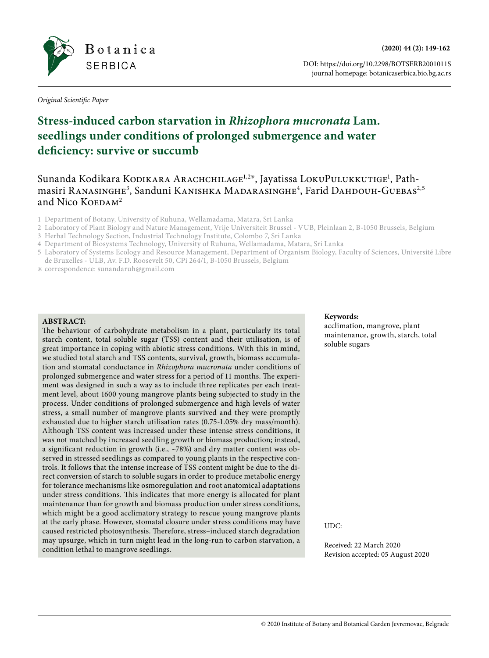

DOI: https://doi.org/10.2298/BOTSERB2001011S journal homepage: botanicaserbica.bio.bg.ac.rs

*Original Scientific Paper*

# **Stress-induced carbon starvation in** *Rhizophora mucronata* **Lam. seedlings under conditions of prolonged submergence and water deficiency: survive or succumb**

Sunanda Kodikara Kodikara Arachchilage<sup>1,2∗</sup>, Jayatissa LokuPulukkutige<sup>1</sup>, Pathmasiri Ranasınghe $^3$ , Sanduni Kanıshka Madarasınghe $^4$ , Farid Dahdouh-Guebas $^{2,5}$ and Nico  $K$ OEDA $M^2$ 

- 1 Department of Botany, University of Ruhuna, Wellamadama, Matara, Sri Lanka
- 2 Laboratory of Plant Biology and Nature Management, Vrije Universiteit Brussel VUB, Pleinlaan 2, B-1050 Brussels, Belgium
- 3 Herbal Technology Section, Industrial Technology Institute, Colombo 7, Sri Lanka
- 4 Department of Biosystems Technology, University of Ruhuna, Wellamadama, Matara, Sri Lanka
- 5 Laboratory of Systems Ecology and Resource Management, Department of Organism Biology, Faculty of Sciences, Université Libre de Bruxelles - ULB, Av. F.D. Roosevelt 50, CPi 264/1, B-1050 Brussels, Belgium
- ✳ correspondence: [sunandaruh@gmail.com](mailto:sunandaruh@gmail.com)

## **ABSTRACT:**

The behaviour of carbohydrate metabolism in a plant, particularly its total starch content, total soluble sugar (TSS) content and their utilisation, is of great importance in coping with abiotic stress conditions. With this in mind, we studied total starch and TSS contents, survival, growth, biomass accumulation and stomatal conductance in *Rhizophora mucronata* under conditions of prolonged submergence and water stress for a period of 11 months. The experiment was designed in such a way as to include three replicates per each treatment level, about 1600 young mangrove plants being subjected to study in the process. Under conditions of prolonged submergence and high levels of water stress, a small number of mangrove plants survived and they were promptly exhausted due to higher starch utilisation rates (0.75-1.05% dry mass/month). Although TSS content was increased under these intense stress conditions, it was not matched by increased seedling growth or biomass production; instead, a significant reduction in growth (i.e., ~78%) and dry matter content was observed in stressed seedlings as compared to young plants in the respective controls. It follows that the intense increase of TSS content might be due to the direct conversion of starch to soluble sugars in order to produce metabolic energy for tolerance mechanisms like osmoregulation and root anatomical adaptations under stress conditions. This indicates that more energy is allocated for plant maintenance than for growth and biomass production under stress conditions, which might be a good acclimatory strategy to rescue young mangrove plants at the early phase. However, stomatal closure under stress conditions may have caused restricted photosynthesis. Therefore, stress–induced starch degradation may upsurge, which in turn might lead in the long-run to carbon starvation, a condition lethal to mangrove seedlings.

#### **Keywords:**

acclimation, mangrove, plant maintenance, growth, starch, total soluble sugars

UDC:

Received: 22 March 2020 Revision accepted: 05 August 2020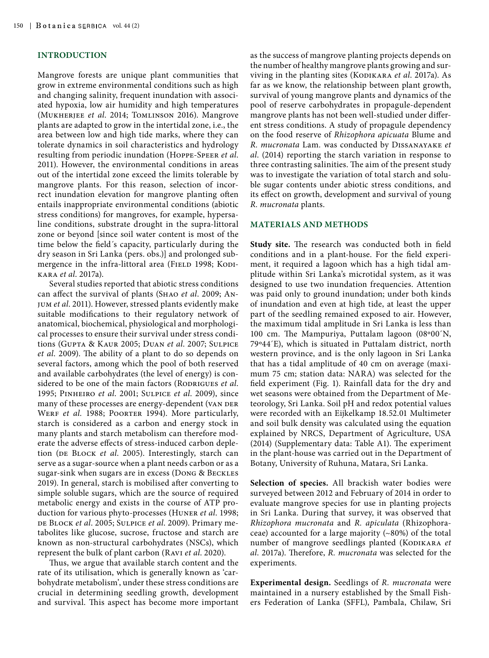## **INTRODUCTION**

Mangrove forests are unique plant communities that grow in extreme environmental conditions such as high and changing salinity, frequent inundation with associated hypoxia, low air humidity and high temperatures (Mukherjee *et al*. 2014; Tomlinson 2016). Mangrove plants are adapted to grow in the intertidal zone, i.e., the area between low and high tide marks, where they can tolerate dynamics in soil characteristics and hydrology resulting from periodic inundation (Hoppe-Speer *et al*. 2011). However, the environmental conditions in areas out of the intertidal zone exceed the limits tolerable by mangrove plants. For this reason, selection of incorrect inundation elevation for mangrove planting often entails inappropriate environmental conditions (abiotic stress conditions) for mangroves, for example, hypersaline conditions, substrate drought in the supra-littoral zone or beyond [since soil water content is most of the time below the field´s capacity, particularly during the dry season in Sri Lanka (pers. obs.)] and prolonged submergence in the infra-littoral area (FIELD 1998; KODIkara *et al*. 2017a).

Several studies reported that abiotic stress conditions can affect the survival of plants (Shao *et al*. 2009; Anjum *et al*. 2011). However, stressed plants evidently make suitable modifications to their regulatory network of anatomical, biochemical, physiological and morphological processes to ensure their survival under stress conditions (Gupta & Kaur 2005; Duan *et al*. 2007; Sulpice *et al*. 2009). The ability of a plant to do so depends on several factors, among which the pool of both reserved and available carbohydrates (the level of energy) is considered to be one of the main factors (RODRIGUES *et al.*) 1995; Pinheiro *et al*. 2001; Sulpice *et al*. 2009), since many of these processes are energy-dependent (VAN DER WERF *et al.* 1988; POORTER 1994). More particularly, starch is considered as a carbon and energy stock in many plants and starch metabolism can therefore moderate the adverse effects of stress-induced carbon depletion (DE BLOCK *et al.* 2005). Interestingly, starch can serve as a sugar-source when a plant needs carbon or as a sugar-sink when sugars are in excess (Dong & Beckles 2019). In general, starch is mobilised after converting to simple soluble sugars, which are the source of required metabolic energy and exists in the course of ATP production for various phyto-processes (Huner *et al*. 1998; de Block *et al*. 2005; Sulpice *et al*. 2009). Primary metabolites like glucose, sucrose, fructose and starch are known as non-structural carbohydrates (NSCs), which represent the bulk of plant carbon (Ravi *et al*. 2020).

Thus, we argue that available starch content and the rate of its utilisation, which is generally known as 'carbohydrate metabolism', under these stress conditions are crucial in determining seedling growth, development and survival. This aspect has become more important

as the success of mangrove planting projects depends on the number of healthy mangrove plants growing and surviving in the planting sites (KODIKARA et al. 2017a). As far as we know, the relationship between plant growth, survival of young mangrove plants and dynamics of the pool of reserve carbohydrates in propagule-dependent mangrove plants has not been well-studied under different stress conditions. A study of propagule dependency on the food reserve of *Rhizophora apicuata* Blume and *R. mucronata* Lam*.* was conducted by Dissanayake *et al*. (2014) reporting the starch variation in response to three contrasting salinities. The aim of the present study was to investigate the variation of total starch and soluble sugar contents under abiotic stress conditions, and its effect on growth, development and survival of young *R. mucronata* plants.

## **MATERIALS AND METHODS**

**Study site.** The research was conducted both in field conditions and in a plant-house. For the field experiment, it required a lagoon which has a high tidal amplitude within Sri Lanka's microtidal system, as it was designed to use two inundation frequencies. Attention was paid only to ground inundation; under both kinds of inundation and even at high tide, at least the upper part of the seedling remained exposed to air. However, the maximum tidal amplitude in Sri Lanka is less than 100 cm. The Mampuriya, Puttalam lagoon (08º00´N, 79º44´E), which is situated in Puttalam district, north western province, and is the only lagoon in Sri Lanka that has a tidal amplitude of 40 cm on average (maximum 75 cm; station data: NARA) was selected for the field experiment (Fig. 1). Rainfall data for the dry and wet seasons were obtained from the Department of Meteorology, Sri Lanka. Soil pH and redox potential values were recorded with an Eijkelkamp 18.52.01 Multimeter and soil bulk density was calculated using the equation explained by NRCS, Department of Agriculture, USA (2014) (Supplementary data: Table A1). The experiment in the plant-house was carried out in the Department of Botany, University of Ruhuna, Matara, Sri Lanka.

**Selection of species.** All brackish water bodies were surveyed between 2012 and February of 2014 in order to evaluate mangrove species for use in planting projects in Sri Lanka. During that survey, it was observed that *Rhizophora mucronata* and *R. apiculata* (Rhizophoraceae) accounted for a large majority (~80%) of the total number of mangrove seedlings planted (KODIKARA et *al*. 2017a). Therefore, *R. mucronata* was selected for the experiments.

**Experimental design.** Seedlings of *R. mucronata* were maintained in a nursery established by the Small Fishers Federation of Lanka (SFFL), Pambala, Chilaw, Sri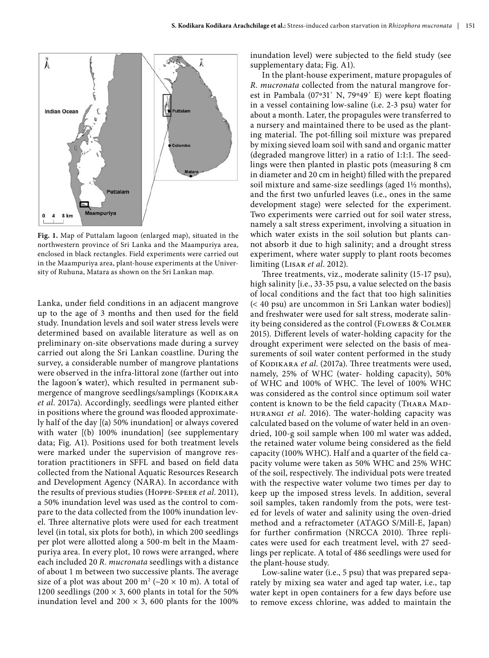

**Fig. 1.** Map of Puttalam lagoon (enlarged map), situated in the northwestern province of Sri Lanka and the Maampuriya area, enclosed in black rectangles. Field experiments were carried out in the Maampuriya area, plant-house experiments at the University of Ruhuna, Matara as shown on the Sri Lankan map.

Lanka, under field conditions in an adjacent mangrove up to the age of 3 months and then used for the field study. Inundation levels and soil water stress levels were determined based on available literature as well as on preliminary on-site observations made during a survey carried out along the Sri Lankan coastline. During the survey, a considerable number of mangrove plantations were observed in the infra-littoral zone (farther out into the lagoon**´s** water), which resulted in permanent submergence of mangrove seedlings/samplings (KODIKARA *et al*. 2017a). Accordingly, seedlings were planted either in positions where the ground was flooded approximately half of the day [(a) 50% inundation] or always covered with water [(b) 100% inundation] (see supplementary data; Fig. A1). Positions used for both treatment levels were marked under the supervision of mangrove restoration practitioners in SFFL and based on field data collected from the National Aquatic Resources Research and Development Agency (NARA). In accordance with the results of previous studies (Hoppe-Speer *et al*. 2011), a 50% inundation level was used as the control to compare to the data collected from the 100% inundation level. Three alternative plots were used for each treatment level (in total, six plots for both), in which 200 seedlings per plot were allotted along a 500-m belt in the Maampuriya area. In every plot, 10 rows were arranged, where each included 20 *R. mucronata* seedlings with a distance of about 1 m between two successive plants. The average size of a plot was about 200 m<sup>2</sup> ( $\sim$ 20  $\times$  10 m). A total of 1200 seedlings (200  $\times$  3, 600 plants in total for the 50% inundation level and  $200 \times 3$ , 600 plants for the 100%

inundation level) were subjected to the field study (see supplementary data; Fig. A1).

In the plant-house experiment, mature propagules of *R. mucronata* collected from the natural mangrove forest in Pambala (07º31´ N, 79º49´ E) were kept floating in a vessel containing low-saline (i.e. 2-3 psu) water for about a month. Later, the propagules were transferred to a nursery and maintained there to be used as the planting material. The pot-filling soil mixture was prepared by mixing sieved loam soil with sand and organic matter (degraded mangrove litter) in a ratio of 1:1:1. The seedlings were then planted in plastic pots (measuring 8 cm in diameter and 20 cm in height) filled with the prepared soil mixture and same-size seedlings (aged 1½ months), and the first two unfurled leaves (i.e., ones in the same development stage) were selected for the experiment. Two experiments were carried out for soil water stress, namely a salt stress experiment, involving a situation in which water exists in the soil solution but plants cannot absorb it due to high salinity; and a drought stress experiment, where water supply to plant roots becomes limiting (Lisar *et al*. 2012).

Three treatments, viz., moderate salinity (15-17 psu), high salinity [i.e., 33-35 psu, a value selected on the basis of local conditions and the fact that too high salinities (< 40 psu) are uncommon in Sri Lankan water bodies)] and freshwater were used for salt stress, moderate salinity being considered as the control (Flowers & Colmer 2015). Different levels of water-holding capacity for the drought experiment were selected on the basis of measurements of soil water content performed in the study of KODIKARA et al. (2017a). Three treatments were used, namely, 25% of WHC (water- holding capacity), 50% of WHC and 100% of WHC. The level of 100% WHC was considered as the control since optimum soil water content is known to be the field capacity (THARA MADhurangi *et al*. 2016). The water-holding capacity was calculated based on the volume of water held in an ovendried, 100-g soil sample when 100 ml water was added, the retained water volume being considered as the field capacity (100% WHC). Half and a quarter of the field capacity volume were taken as 50% WHC and 25% WHC of the soil, respectively. The individual pots were treated with the respective water volume two times per day to keep up the imposed stress levels. In addition, several soil samples, taken randomly from the pots, were tested for levels of water and salinity using the oven-dried method and a refractometer (ATAGO S/Mill-E, Japan) for further confirmation (NRCCA 2010). Three replicates were used for each treatment level, with 27 seedlings per replicate. A total of 486 seedlings were used for the plant-house study.

Low-saline water (i.e., 5 psu) that was prepared separately by mixing sea water and aged tap water, i.e., tap water kept in open containers for a few days before use to remove excess chlorine, was added to maintain the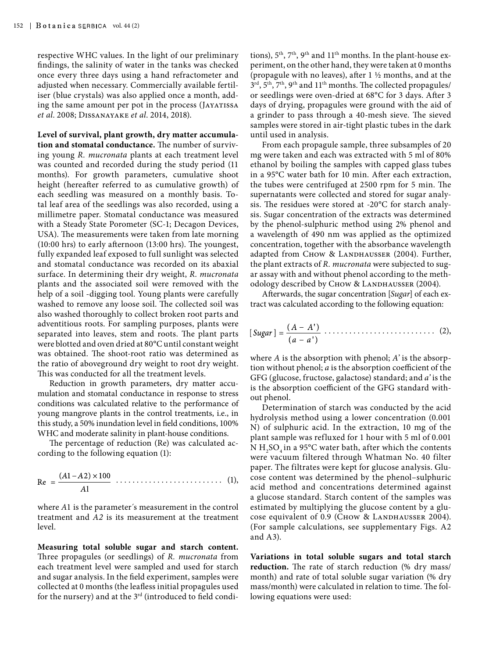respective WHC values. In the light of our preliminary findings, the salinity of water in the tanks was checked once every three days using a hand refractometer and adjusted when necessary. Commercially available fertiliser (blue crystals) was also applied once a month, adding the same amount per pot in the process (JAYATISSA *et al*. 2008; Dissanayake *et al*. 2014, 2018).

**Level of survival, plant growth, dry matter accumulation and stomatal conductance.** The number of surviving young *R. mucronata* plants at each treatment level was counted and recorded during the study period (11 months). For growth parameters, cumulative shoot height (hereafter referred to as cumulative growth) of each seedling was measured on a monthly basis. Total leaf area of the seedlings was also recorded, using a millimetre paper. Stomatal conductance was measured with a Steady State Porometer (SC-1; Decagon Devices, USA). The measurements were taken from late morning (10:00 hrs) to early afternoon (13:00 hrs). The youngest, fully expanded leaf exposed to full sunlight was selected and stomatal conductance was recorded on its abaxial surface. In determining their dry weight, *R. mucronata*  plants and the associated soil were removed with the help of a soil -digging tool. Young plants were carefully washed to remove any loose soil. The collected soil was also washed thoroughly to collect broken root parts and adventitious roots. For sampling purposes, plants were separated into leaves, stem and roots. The plant parts were blotted and oven dried at 80°C until constant weight was obtained. The shoot-root ratio was determined as the ratio of aboveground dry weight to root dry weight. This was conducted for all the treatment levels.

Reduction in growth parameters, dry matter accumulation and stomatal conductance in response to stress conditions was calculated relative to the performance of young mangrove plants in the control treatments, i.e., in this study, a 50% inundation level in field conditions, 100% WHC and moderate salinity in plant-house conditions.

The percentage of reduction (Re) was calculated according to the following equation (1):

Re = 
$$
\frac{(A1 - A2) \times 100}{A1}
$$
 (1),

where *A*1 is the parameter´s measurement in the control treatment and *A2* is its measurement at the treatment level.

**Measuring total soluble sugar and starch content.**  Three propagules (or seedlings) of *R. mucronata* from each treatment level were sampled and used for starch and sugar analysis. In the field experiment, samples were collected at 0 months (the leafless initial propagules used for the nursery) and at the 3<sup>rd</sup> (introduced to field condi-

tions),  $5<sup>th</sup>$ ,  $7<sup>th</sup>$ ,  $9<sup>th</sup>$  and  $11<sup>th</sup>$  months. In the plant-house experiment, on the other hand, they were taken at 0 months (propagule with no leaves), after  $1\frac{1}{2}$  months, and at the  $3<sup>rd</sup>$ ,  $5<sup>th</sup>$ ,  $7<sup>th</sup>$ ,  $9<sup>th</sup>$  and  $11<sup>th</sup>$  months. The collected propagules/ or seedlings were oven-dried at 68°C for 3 days. After 3 days of drying, propagules were ground with the aid of a grinder to pass through a 40-mesh sieve. The sieved samples were stored in air-tight plastic tubes in the dark until used in analysis.

From each propagule sample, three subsamples of 20 mg were taken and each was extracted with 5 ml of 80% ethanol by boiling the samples with capped glass tubes in a 95°C water bath for 10 min. After each extraction, the tubes were centrifuged at 2500 rpm for 5 min. The supernatants were collected and stored for sugar analysis. The residues were stored at -20°C for starch analysis. Sugar concentration of the extracts was determined by the phenol-sulphuric method using 2% phenol and a wavelength of 490 nm was applied as the optimized concentration, together with the absorbance wavelength adapted from CHOW & LANDHAUSSER (2004). Further, the plant extracts of *R. mucronata* were subjected to sugar assay with and without phenol according to the methodology described by Chow & LANDHAUSSER (2004).

Afterwards, the sugar concentration [*Sugar*] of each extract was calculated according to the following equation:

$$
[Sugar] = \frac{(A - A')}{(a - a')}\cdot \cdot \cdot \cdot \cdot \cdot \cdot \cdot \cdot \cdot \cdot \cdot \cdot \cdot \cdot \cdot \cdot \cdot \cdot (2),
$$

where *A* is the absorption with phenol; *A'* is the absorption without phenol; *a* is the absorption coefficient of the GFG (glucose, fructose, galactose) standard; and *a'* is the is the absorption coefficient of the GFG standard without phenol.

Determination of starch was conducted by the acid hydrolysis method using a lower concentration (0.001 N) of sulphuric acid. In the extraction, 10 mg of the plant sample was refluxed for 1 hour with 5 ml of 0.001 N  $H_2SO_4$  in a 95°C water bath, after which the contents were vacuum filtered through Whatman No. 40 filter paper. The filtrates were kept for glucose analysis. Glucose content was determined by the phenol–sulphuric acid method and concentrations determined against a glucose standard. Starch content of the samples was estimated by multiplying the glucose content by a glucose equivalent of 0.9 (CHOW & LANDHAUSSER 2004). (For sample calculations, see supplementary Figs. A2 and A3).

**Variations in total soluble sugars and total starch reduction.** The rate of starch reduction (% dry mass/ month) and rate of total soluble sugar variation (% dry mass/month) were calculated in relation to time. The following equations were used: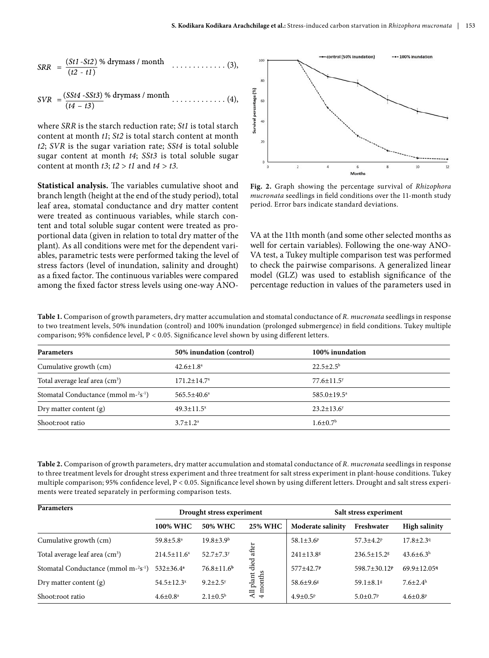$$
SRR = \frac{(St1 - St2) \% \text{ drymass} / \text{month}}{(t2 - t1)}
$$
 (3),

$$
SVR = \frac{(SSt4 - SSt3)}{(t4 - t3)}\% \, \text{drymass} \, / \, \text{month} \, \dots \dots \dots \dots \, (4),
$$

where *SRR* is the starch reduction rate; *St1* is total starch content at month *t1*; *St2* is total starch content at month *t2*; *SVR* is the sugar variation rate; *SSt4* is total soluble sugar content at month *t4*; *SSt3* is total soluble sugar content at month *t3*; *t2* > *t1* and *t4 > t3.*

**Statistical analysis.** The variables cumulative shoot and branch length (height at the end of the study period), total leaf area, stomatal conductance and dry matter content were treated as continuous variables, while starch content and total soluble sugar content were treated as proportional data (given in relation to total dry matter of the plant). As all conditions were met for the dependent variables, parametric tests were performed taking the level of stress factors (level of inundation, salinity and drought) as a fixed factor. The continuous variables were compared among the fixed factor stress levels using one-way ANO-



**Fig. 2.** Graph showing the percentage survival of *Rhizophora mucronata* seedlings in field conditions over the 11-month study period. Error bars indicate standard deviations.

VA at the 11th month (and some other selected months as well for certain variables). Following the one-way ANO-VA test, a Tukey multiple comparison test was performed to check the pairwise comparisons. A generalized linear model (GLZ) was used to establish significance of the percentage reduction in values of the parameters used in

**Table 1.** Comparison of growth parameters, dry matter accumulation and stomatal conductance of *R. mucronata* seedlings in response to two treatment levels, 50% inundation (control) and 100% inundation (prolonged submergence) in field conditions. Tukey multiple comparison; 95% confidence level, P < 0.05. Significance level shown by using different letters.

| <b>Parameters</b>                        | 50% inundation (control) | 100% inundation              |  |
|------------------------------------------|--------------------------|------------------------------|--|
| Cumulative growth (cm)                   | $42.6 \pm 1.8^{\circ}$   | $22.5 \pm 2.5^{\rm b}$       |  |
| Total average leaf area $\rm (cm^3)$     | $171.2 \pm 14.7^x$       | $77.6 \pm 11.5$ <sup>y</sup> |  |
| Stomatal Conductance (mmol $m-2s^{-1}$ ) | $565.5 \pm 40.6^{\circ}$ | $585.0 \pm 19.5^{\circ}$     |  |
| Dry matter content $(g)$                 | $49.3 \pm 11.5^x$        | $23.2 \pm 13.6^y$            |  |
| Shoot:root ratio                         | $3.7 \pm 1.2^a$          | $1.6 \pm 0.7$ <sup>b</sup>   |  |

**Table 2.** Comparison of growth parameters, dry matter accumulation and stomatal conductance of *R. mucronata* seedlings in response to three treatment levels for drought stress experiment and three treatment for salt stress experiment in plant-house conditions. Tukey multiple comparison; 95% confidence level, P < 0.05. Significance level shown by using different letters. Drought and salt stress experiments were treated separately in performing comparison tests.

| <b>Parameters</b>                          | Drought stress experiment    |                             |                          | Salt stress experiment      |                               |                            |
|--------------------------------------------|------------------------------|-----------------------------|--------------------------|-----------------------------|-------------------------------|----------------------------|
|                                            | 100% WHC                     | 50% WHC                     | <b>25% WHC</b>           | Moderate salinity           | Freshwater                    | <b>High salinity</b>       |
| Cumulative growth (cm)                     | $59.8 \pm 5.8^{\circ}$       | $19.8 \pm 3.9^{\rm b}$      |                          | 58.1 $\pm$ 3.6 <sup>p</sup> | $57.3 \pm 4.2$ <sup>p</sup>   | $17.8 \pm 2.39$            |
| Total average leaf area (cm <sup>3</sup> ) | $214.5 \pm 11.6^x$           | $52.7 \pm 7.3$ <sup>y</sup> | after                    | $241 \pm 13.8$ <sup>g</sup> | $236.5 \pm 15.2$ <sup>g</sup> | $43.6 \pm 6.3^{\rm h}$     |
| Stomatal Conductance (mmol $m-2s^{-1}$ )   | $532 \pm 36.4^a$             | $76.8 \pm 11.6^b$           | died                     | 577±42.7P                   | 598.7±30.12 <sup>P</sup>      | $69.9 \pm 12.059$          |
| Dry matter content $(g)$                   | $54.5 \pm 12.3$ <sup>x</sup> | $9.2 \pm 2.5$ <sup>y</sup>  | All plant of<br>4 months | $58.6 \pm 9.6$ <sup>g</sup> | $59.1 \pm 8.1$ <sup>g</sup>   | $7.6 \pm 2.4^{\rm h}$      |
| Shoot:root ratio                           | $4.6 \pm 0.8^{\text{a}}$     | $2.1 \pm 0.5^{\rm b}$       |                          | $4.9 \pm 0.5^{\rm p}$       | $5.0 \pm 0.7$ <sup>p</sup>    | $4.6 \pm 0.8$ <sup>p</sup> |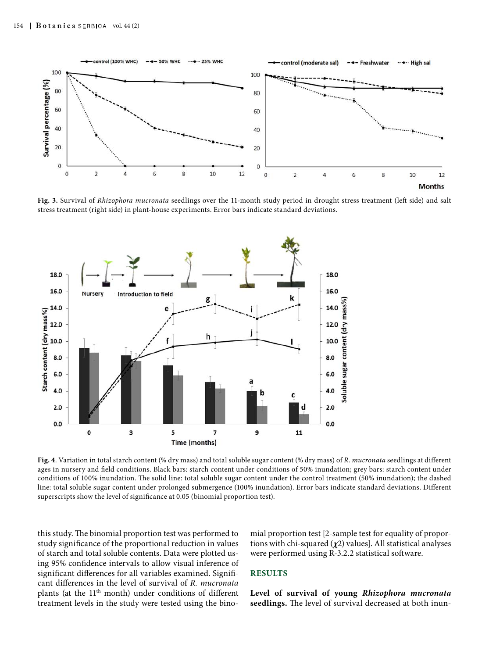

**Fig. 3.** Survival of *Rhizophora mucronata* seedlings over the 11-month study period in drought stress treatment (left side) and salt stress treatment (right side) in plant-house experiments. Error bars indicate standard deviations.



**Fig. 4**. Variation in total starch content (% dry mass) and total soluble sugar content (% dry mass) of *R. mucronata* seedlings at different ages in nursery and field conditions. Black bars: starch content under conditions of 50% inundation; grey bars: starch content under conditions of 100% inundation. The solid line: total soluble sugar content under the control treatment (50% inundation); the dashed line: total soluble sugar content under prolonged submergence (100% inundation). Error bars indicate standard deviations. Different superscripts show the level of significance at 0.05 (binomial proportion test).

this study. The binomial proportion test was performed to study significance of the proportional reduction in values of starch and total soluble contents. Data were plotted using 95% confidence intervals to allow visual inference of significant differences for all variables examined. Significant differences in the level of survival of *R. mucronata*  plants (at the 11th month) under conditions of different treatment levels in the study were tested using the binomial proportion test [2-sample test for equality of proportions with chi-squared (*χ*2) values]. All statistical analyses were performed using R-3.2.2 statistical software.

#### **RESULTS**

**Level of survival of young** *Rhizophora mucronata* **seedlings.** The level of survival decreased at both inun-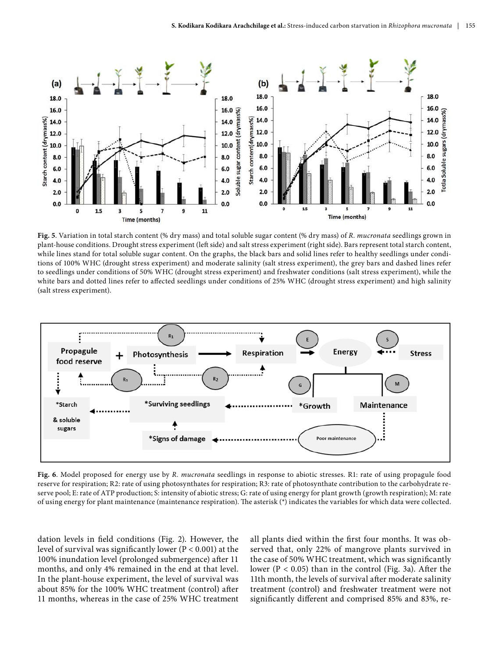![](_page_6_Figure_1.jpeg)

**Fig. 5**. Variation in total starch content (% dry mass) and total soluble sugar content (% dry mass) of *R. mucronata* seedlings grown in plant-house conditions. Drought stress experiment (left side) and salt stress experiment (right side). Bars represent total starch content, while lines stand for total soluble sugar content. On the graphs, the black bars and solid lines refer to healthy seedlings under conditions of 100% WHC (drought stress experiment) and moderate salinity (salt stress experiment), the grey bars and dashed lines refer to seedlings under conditions of 50% WHC (drought stress experiment) and freshwater conditions (salt stress experiment), while the white bars and dotted lines refer to affected seedlings under conditions of 25% WHC (drought stress experiment) and high salinity (salt stress experiment).

![](_page_6_Figure_3.jpeg)

**Fig. 6**. Model proposed for energy use by *R. mucronata* seedlings in response to abiotic stresses. R1: rate of using propagule food reserve for respiration; R2: rate of using photosynthates for respiration; R3: rate of photosynthate contribution to the carbohydrate reserve pool; E: rate of ATP production; S: intensity of abiotic stress; G: rate of using energy for plant growth (growth respiration); M: rate of using energy for plant maintenance (maintenance respiration). The asterisk (\*) indicates the variables for which data were collected.

dation levels in field conditions (Fig. 2). However, the level of survival was significantly lower (P < 0.001) at the 100% inundation level (prolonged submergence) after 11 months, and only 4% remained in the end at that level. In the plant-house experiment, the level of survival was about 85% for the 100% WHC treatment (control) after 11 months, whereas in the case of 25% WHC treatment

all plants died within the first four months. It was observed that, only 22% of mangrove plants survived in the case of 50% WHC treatment, which was significantly lower ( $P < 0.05$ ) than in the control (Fig. 3a). After the 11th month, the levels of survival after moderate salinity treatment (control) and freshwater treatment were not significantly different and comprised 85% and 83%, re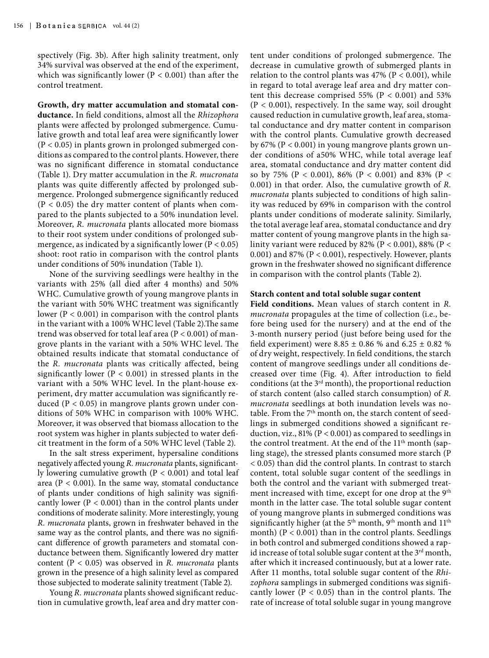spectively (Fig. 3b). After high salinity treatment, only 34% survival was observed at the end of the experiment, which was significantly lower ( $P < 0.001$ ) than after the control treatment.

**Growth, dry matter accumulation and stomatal conductance.** In field conditions, almost all the *Rhizophora* plants were affected by prolonged submergence. Cumulative growth and total leaf area were significantly lower  $(P < 0.05)$  in plants grown in prolonged submerged conditions as compared to the control plants. However, there was no significant difference in stomatal conductance (Table 1). Dry matter accumulation in the *R. mucronata*  plants was quite differently affected by prolonged submergence. Prolonged submergence significantly reduced (P < 0.05) the dry matter content of plants when compared to the plants subjected to a 50% inundation level. Moreover, *R. mucronata* plants allocated more biomass to their root system under conditions of prolonged submergence, as indicated by a significantly lower ( $P < 0.05$ ) shoot: root ratio in comparison with the control plants under conditions of 50% inundation (Table 1).

None of the surviving seedlings were healthy in the variants with 25% (all died after 4 months) and 50% WHC. Cumulative growth of young mangrove plants in the variant with 50% WHC treatment was significantly lower ( $P < 0.001$ ) in comparison with the control plants in the variant with a 100% WHC level (Table 2).The same trend was observed for total leaf area ( $P < 0.001$ ) of mangrove plants in the variant with a 50% WHC level. The obtained results indicate that stomatal conductance of the *R. mucronata* plants was critically affected, being significantly lower ( $P < 0.001$ ) in stressed plants in the variant with a 50% WHC level. In the plant-house experiment, dry matter accumulation was significantly reduced ( $P < 0.05$ ) in mangrove plants grown under conditions of 50% WHC in comparison with 100% WHC. Moreover, it was observed that biomass allocation to the root system was higher in plants subjected to water deficit treatment in the form of a 50% WHC level (Table 2).

In the salt stress experiment, hypersaline conditions negatively affected young *R. mucronata* plants, significantly lowering cumulative growth  $(P < 0.001)$  and total leaf area ( $P < 0.001$ ). In the same way, stomatal conductance of plants under conditions of high salinity was significantly lower ( $P < 0.001$ ) than in the control plants under conditions of moderate salinity. More interestingly, young *R. mucronata* plants, grown in freshwater behaved in the same way as the control plants, and there was no significant difference of growth parameters and stomatal conductance between them. Significantly lowered dry matter content (P < 0.05) was observed in *R. mucronata* plants grown in the presence of a high salinity level as compared those subjected to moderate salinity treatment (Table 2).

Young *R. mucronata* plants showed significant reduction in cumulative growth, leaf area and dry matter con-

tent under conditions of prolonged submergence. The decrease in cumulative growth of submerged plants in relation to the control plants was  $47\%$  (P < 0.001), while in regard to total average leaf area and dry matter content this decrease comprised 55% ( $P < 0.001$ ) and 53% (P < 0.001), respectively. In the same way, soil drought caused reduction in cumulative growth, leaf area, stomatal conductance and dry matter content in comparison with the control plants. Cumulative growth decreased by 67% ( $P < 0.001$ ) in young mangrove plants grown under conditions of a50% WHC, while total average leaf area, stomatal conductance and dry matter content did so by 75% (P < 0.001), 86% (P < 0.001) and 83% (P < 0.001) in that order. Also, the cumulative growth of *R. mucronata* plants subjected to conditions of high salinity was reduced by 69% in comparison with the control plants under conditions of moderate salinity. Similarly, the total average leaf area, stomatal conductance and dry matter content of young mangrove plants in the high salinity variant were reduced by 82% (P < 0.001), 88% (P < 0.001) and 87% (P < 0.001), respectively. However, plants grown in the freshwater showed no significant difference in comparison with the control plants (Table 2).

### **Starch content and total soluble sugar content**

**Field conditions.** Mean values of starch content in *R. mucronata* propagules at the time of collection (i.e., before being used for the nursery) and at the end of the 3-month nursery period (just before being used for the field experiment) were  $8.85 \pm 0.86$  % and  $6.25 \pm 0.82$  % of dry weight, respectively. In field conditions, the starch content of mangrove seedlings under all conditions decreased over time (Fig. 4). After introduction to field conditions (at the  $3<sup>rd</sup>$  month), the proportional reduction of starch content (also called starch consumption) of *R. mucronata* seedlings at both inundation levels was notable. From the 7<sup>th</sup> month on, the starch content of seedlings in submerged conditions showed a significant reduction, viz., 81% (P < 0.001) as compared to seedlings in the control treatment. At the end of the 11<sup>th</sup> month (sapling stage), the stressed plants consumed more starch (P < 0.05) than did the control plants. In contrast to starch content, total soluble sugar content of the seedlings in both the control and the variant with submerged treatment increased with time, except for one drop at the 9<sup>th</sup> month in the latter case. The total soluble sugar content of young mangrove plants in submerged conditions was significantly higher (at the 5<sup>th</sup> month, 9<sup>th</sup> month and 11<sup>th</sup> month) ( $P < 0.001$ ) than in the control plants. Seedlings in both control and submerged conditions showed a rapid increase of total soluble sugar content at the  $3^{\rm rd}$  month, after which it increased continuously, but at a lower rate. After 11 months, total soluble sugar content of the *Rhizophora* samplings in submerged conditions was significantly lower ( $P < 0.05$ ) than in the control plants. The rate of increase of total soluble sugar in young mangrove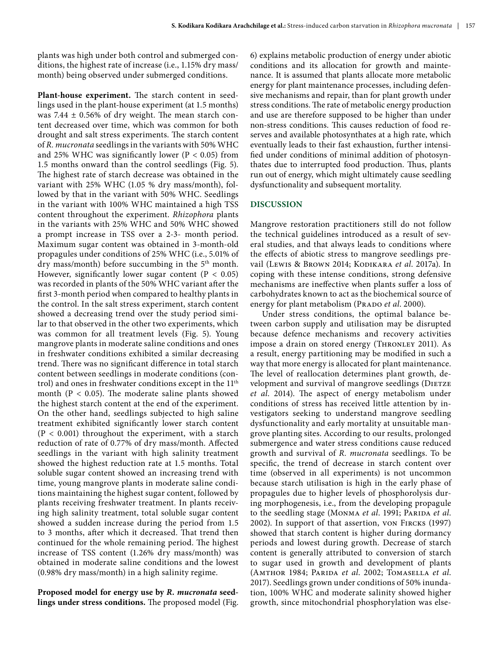plants was high under both control and submerged conditions, the highest rate of increase (i.e., 1.15% dry mass/ month) being observed under submerged conditions.

**Plant-house experiment.** The starch content in seedlings used in the plant-house experiment (at 1.5 months) was 7.44  $\pm$  0.56% of dry weight. The mean starch content decreased over time, which was common for both drought and salt stress experiments. The starch content of *R. mucronata* seedlings in the variants with 50% WHC and 25% WHC was significantly lower ( $P < 0.05$ ) from 1.5 months onward than the control seedlings (Fig. 5). The highest rate of starch decrease was obtained in the variant with 25% WHC (1.05 % dry mass/month), followed by that in the variant with 50% WHC. Seedlings in the variant with 100% WHC maintained a high TSS content throughout the experiment. *Rhizophora* plants in the variants with 25% WHC and 50% WHC showed a prompt increase in TSS over a 2-3- month period. Maximum sugar content was obtained in 3-month-old propagules under conditions of 25% WHC (i.e., 5.01% of dry mass/month) before succumbing in the  $5<sup>th</sup>$  month. However, significantly lower sugar content ( $P < 0.05$ ) was recorded in plants of the 50% WHC variant after the first 3-month period when compared to healthy plants in the control. In the salt stress experiment, starch content showed a decreasing trend over the study period similar to that observed in the other two experiments, which was common for all treatment levels (Fig. 5). Young mangrove plants in moderate saline conditions and ones in freshwater conditions exhibited a similar decreasing trend. There was no significant difference in total starch content between seedlings in moderate conditions (control) and ones in freshwater conditions except in the 11th month ( $P < 0.05$ ). The moderate saline plants showed the highest starch content at the end of the experiment. On the other hand, seedlings subjected to high saline treatment exhibited significantly lower starch content  $(P < 0.001)$  throughout the experiment, with a starch reduction of rate of 0.77% of dry mass/month. Affected seedlings in the variant with high salinity treatment showed the highest reduction rate at 1.5 months. Total soluble sugar content showed an increasing trend with time, young mangrove plants in moderate saline conditions maintaining the highest sugar content, followed by plants receiving freshwater treatment. In plants receiving high salinity treatment, total soluble sugar content showed a sudden increase during the period from 1.5 to 3 months, after which it decreased. That trend then continued for the whole remaining period. The highest increase of TSS content (1.26% dry mass/month) was obtained in moderate saline conditions and the lowest (0.98% dry mass/month) in a high salinity regime.

**Proposed model for energy use by** *R. mucronata* **seedlings under stress conditions.** The proposed model (Fig.

6) explains metabolic production of energy under abiotic conditions and its allocation for growth and maintenance. It is assumed that plants allocate more metabolic energy for plant maintenance processes, including defensive mechanisms and repair, than for plant growth under stress conditions. The rate of metabolic energy production and use are therefore supposed to be higher than under non-stress conditions. This causes reduction of food reserves and available photosynthates at a high rate, which eventually leads to their fast exhaustion, further intensified under conditions of minimal addition of photosynthates due to interrupted food production. Thus, plants run out of energy, which might ultimately cause seedling dysfunctionality and subsequent mortality.

## **DISCUSSION**

Mangrove restoration practitioners still do not follow the technical guidelines introduced as a result of several studies, and that always leads to conditions where the effects of abiotic stress to mangrove seedlings prevail (Lewis & Brown 2014; Kodikara et al. 2017a). In coping with these intense conditions, strong defensive mechanisms are ineffective when plants suffer a loss of carbohydrates known to act as the biochemical source of energy for plant metabolism (PRADO *et al.* 2000).

Under stress conditions, the optimal balance between carbon supply and utilisation may be disrupted because defence mechanisms and recovery activities impose a drain on stored energy (THRONLEY 2011). As a result, energy partitioning may be modified in such a way that more energy is allocated for plant maintenance. The level of reallocation determines plant growth, development and survival of mangrove seedlings (DIETZE *et al*. 2014). The aspect of energy metabolism under conditions of stress has received little attention by investigators seeking to understand mangrove seedling dysfunctionality and early mortality at unsuitable mangrove planting sites. According to our results, prolonged submergence and water stress conditions cause reduced growth and survival of *R. mucronata* seedlings. To be specific, the trend of decrease in starch content over time (observed in all experiments) is not uncommon because starch utilisation is high in the early phase of propagules due to higher levels of phosphorolysis during morphogenesis, i.e., from the developing propagule to the seedling stage (MONMA et al. 1991; PARIDA et al. 2002). In support of that assertion, von Fircks (1997) showed that starch content is higher during dormancy periods and lowest during growth. Decrease of starch content is generally attributed to conversion of starch to sugar used in growth and development of plants (Amthor 1984; Parida *et al*. 2002; Tomasella *et al*. 2017). Seedlings grown under conditions of 50% inundation, 100% WHC and moderate salinity showed higher growth, since mitochondrial phosphorylation was else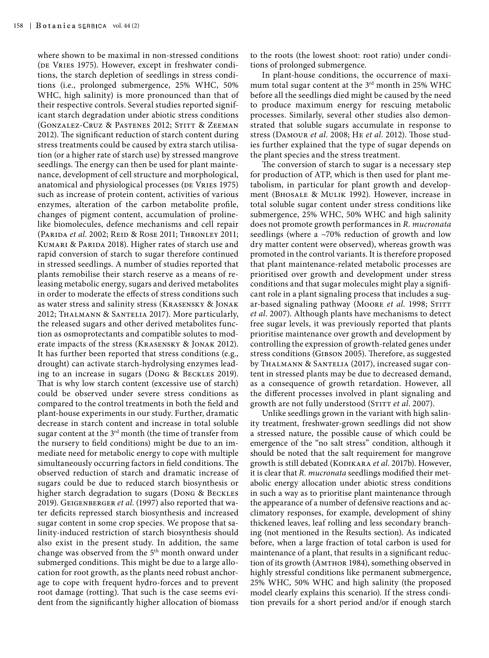where shown to be maximal in non-stressed conditions (DE VRIES 1975). However, except in freshwater conditions, the starch depletion of seedlings in stress conditions (i.e., prolonged submergence, 25% WHC, 50% WHC, high salinity) is more pronounced than that of their respective controls. Several studies reported significant starch degradation under abiotic stress conditions (Gonzalez-Cruz & Pastenes 2012; Stitt & Zeeman 2012). The significant reduction of starch content during stress treatments could be caused by extra starch utilisation (or a higher rate of starch use) by stressed mangrove seedlings. The energy can then be used for plant maintenance, development of cell structure and morphological, anatomical and physiological processes (DE VRIES 1975) such as increase of protein content, activities of various enzymes, alteration of the carbon metabolite profile, changes of pigment content, accumulation of prolinelike biomolecules, defence mechanisms and cell repair (Parida *et al*. 2002; Reid & Rose 2011; Thronley 2011; KUMARI & PARIDA 2018). Higher rates of starch use and rapid conversion of starch to sugar therefore continued in stressed seedlings. A number of studies reported that plants remobilise their starch reserve as a means of releasing metabolic energy, sugars and derived metabolites in order to moderate the effects of stress conditions such as water stress and salinity stress (Krasensky & Jonak 2012; Thalmann & Santelia 2017). More particularly, the released sugars and other derived metabolites function as osmoprotectants and compatible solutes to moderate impacts of the stress (Krasensky & Jonak 2012). It has further been reported that stress conditions (e.g., drought) can activate starch-hydrolysing enzymes leading to an increase in sugars (Dong & Beckles 2019). That is why low starch content (excessive use of starch) could be observed under severe stress conditions as compared to the control treatments in both the field and plant-house experiments in our study. Further, dramatic decrease in starch content and increase in total soluble sugar content at the 3<sup>rd</sup> month (the time of transfer from the nursery to field conditions) might be due to an immediate need for metabolic energy to cope with multiple simultaneously occurring factors in field conditions. The observed reduction of starch and dramatic increase of sugars could be due to reduced starch biosynthesis or higher starch degradation to sugars (Dong & Beckles 2019). Geigenberger *et al*. (1997) also reported that water deficits repressed starch biosynthesis and increased sugar content in some crop species. We propose that salinity-induced restriction of starch biosynthesis should also exist in the present study. In addition, the same change was observed from the 5<sup>th</sup> month onward under submerged conditions. This might be due to a large allocation for root growth, as the plants need robust anchorage to cope with frequent hydro-forces and to prevent root damage (rotting). That such is the case seems evident from the significantly higher allocation of biomass

to the roots (the lowest shoot: root ratio) under conditions of prolonged submergence.

In plant-house conditions, the occurrence of maximum total sugar content at the 3<sup>rd</sup> month in 25% WHC before all the seedlings died might be caused by the need to produce maximum energy for rescuing metabolic processes. Similarly, several other studies also demonstrated that soluble sugars accumulate in response to stress (Damour *et al*. 2008; He *et al*. 2012). Those studies further explained that the type of sugar depends on the plant species and the stress treatment.

The conversion of starch to sugar is a necessary step for production of ATP, which is then used for plant metabolism, in particular for plant growth and development (Bhosale & Mulik 1992). However, increase in total soluble sugar content under stress conditions like submergence, 25% WHC, 50% WHC and high salinity does not promote growth performances in *R. mucronata* seedlings (where a  $\sim$ 70% reduction of growth and low dry matter content were observed), whereas growth was promoted in the control variants. It is therefore proposed that plant maintenance-related metabolic processes are prioritised over growth and development under stress conditions and that sugar molecules might play a significant role in a plant signaling process that includes a sugar-based signaling pathway (Moore *et al.* 1998; STITT *et al*. 2007). Although plants have mechanisms to detect free sugar levels, it was previously reported that plants prioritise maintenance over growth and development by controlling the expression of growth-related genes under stress conditions (Gibson 2005). Therefore, as suggested by THALMANN & SANTELIA (2017), increased sugar content in stressed plants may be due to decreased demand, as a consequence of growth retardation. However, all the different processes involved in plant signaling and growth are not fully understood (STITT et al. 2007).

Unlike seedlings grown in the variant with high salinity treatment, freshwater-grown seedlings did not show a stressed nature, the possible cause of which could be emergence of the "no salt stress" condition, although it should be noted that the salt requirement for mangrove growth is still debated (KODIKARA et al. 2017b). However, it is clear that *R. mucronata* seedlings modified their metabolic energy allocation under abiotic stress conditions in such a way as to prioritise plant maintenance through the appearance of a number of defensive reactions and acclimatory responses, for example, development of shiny thickened leaves, leaf rolling and less secondary branching (not mentioned in the Results section). As indicated before, when a large fraction of total carbon is used for maintenance of a plant, that results in a significant reduction of its growth (Amthor 1984), something observed in highly stressful conditions like permanent submergence, 25% WHC, 50% WHC and high salinity (the proposed model clearly explains this scenario). If the stress condition prevails for a short period and/or if enough starch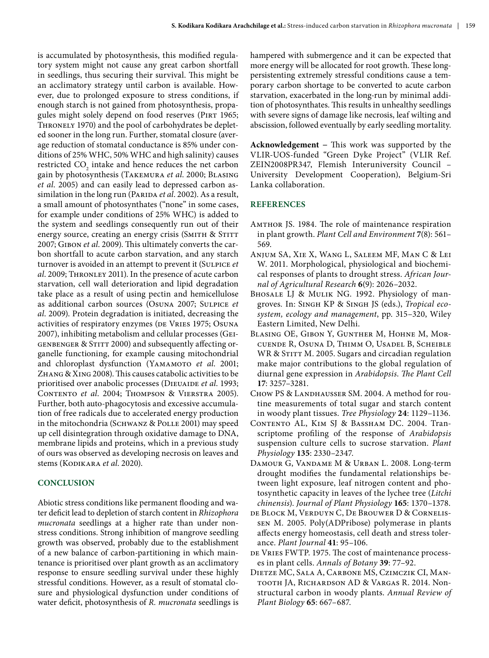is accumulated by photosynthesis, this modified regulatory system might not cause any great carbon shortfall in seedlings, thus securing their survival. This might be an acclimatory strategy until carbon is available. However, due to prolonged exposure to stress conditions, if enough starch is not gained from photosynthesis, propagules might solely depend on food reserves (PIRT 1965; THRONELY 1970) and the pool of carbohydrates be depleted sooner in the long run. Further, stomatal closure (average reduction of stomatal conductance is 85% under conditions of 25% WHC, 50% WHC and high salinity) causes restricted  $CO_2$  intake and hence reduces the net carbon gain by photosynthesis (Takemura *et al*. 2000; Blasing *et al*. 2005) and can easily lead to depressed carbon assimilation in the long run (PARIDA et al. 2002). As a result, a small amount of photosynthates ("none" in some cases, for example under conditions of 25% WHC) is added to the system and seedlings consequently run out of their energy source, creating an energy crisis (SMITH & STITT 2007; Gibon *et al*. 2009). This ultimately converts the carbon shortfall to acute carbon starvation, and any starch turnover is avoided in an attempt to prevent it (Sulpice *et al*. 2009; Thronley 2011). In the presence of acute carbon starvation, cell wall deterioration and lipid degradation take place as a result of using pectin and hemicellulose as additional carbon sources (Osuna 2007; Sulpice *et al*. 2009). Protein degradation is initiated, decreasing the activities of respiratory enzymes (DE VRIES 1975; OSUNA 2007), inhibiting metabolism and cellular processes (Geigenbenger & Stitt 2000) and subsequently affecting organelle functioning, for example causing mitochondrial and chloroplast dysfunction (YAMAMOTO et al. 2001; Zhang & Xing 2008). This causes catabolic activities to be prioritised over anabolic processes (DIEUAIDE et al. 1993; Contento *et al*. 2004; Thompson & Vierstra 2005). Further, both auto-phagocytosis and excessive accumulation of free radicals due to accelerated energy production in the mitochondria (SCHWANZ & POLLE 2001) may speed up cell disintegration through oxidative damage to DNA, membrane lipids and proteins, which in a previous study of ours was observed as developing necrosis on leaves and stems (KODIKARA et al. 2020).

### **CONCLUSION**

Abiotic stress conditions like permanent flooding and water deficit lead to depletion of starch content in *Rhizophora mucronata* seedlings at a higher rate than under nonstress conditions. Strong inhibition of mangrove seedling growth was observed, probably due to the establishment of a new balance of carbon-partitioning in which maintenance is prioritised over plant growth as an acclimatory response to ensure seedling survival under these highly stressful conditions. However, as a result of stomatal closure and physiological dysfunction under conditions of water deficit, photosynthesis of *R. mucronata* seedlings is hampered with submergence and it can be expected that more energy will be allocated for root growth. These longpersistenting extremely stressful conditions cause a temporary carbon shortage to be converted to acute carbon starvation, exacerbated in the long-run by minimal addition of photosynthates. This results in unhealthy seedlings with severe signs of damage like necrosis, leaf wilting and abscission, followed eventually by early seedling mortality.

**Acknowledgement −** This work was supported by the VLIR-UOS-funded "Green Dyke Project" (VLIR Ref. ZEIN2008PR347, Flemish Interuniversity Council – University Development Cooperation), Belgium-Sri Lanka collaboration.

## **REFERENCES**

- Amthor JS. 1984. The role of maintenance respiration in plant growth. *[Plant Cell and Environment](https://www.researchgate.net/journal/1365-3040_Plant_Cell_and_Environment)* **7**(8): 561– 569.
- Anjum SA, Xie X, Wang L, Saleem MF, Man C & Lei W. 2011. Morphological, physiological and biochemical responses of plants to drought stress. *African Journal of Agricultural Research* **6**(9): 2026–2032.
- BHOSALE LJ & MULIK NG. 1992. Physiology of mangroves*.* In: Singh KP & Singh JS (eds.), *Tropical ecosystem, ecology and management*, pp. 315–320, Wiley Eastern Limited, New Delhi.
- Blasing OE, Gibon Y, Gunther M, Hohne M, Morcuende R, Osuna D, Thimm O, Usadel B, Scheible WR & STITT M. 2005. Sugars and circadian regulation make major contributions to the global regulation of diurnal gene expression in *Arabidopsis*. *The Plant Cell*  **17**: 3257–3281.
- CHOW PS & LANDHAUSSER SM. 2004. A method for routine measurements of total sugar and starch content in woody plant tissues. *Tree Physiology* **24**: 1129–1136.
- Contento AL, Kim SJ & Bassham DC. 2004. Transcriptome profiling of the response of *Arabidopsis*  suspension culture cells to sucrose starvation. *Plant Physiology* **135**: 2330–2347.
- Damour G, Vandame M & Urban L. 2008. Long-term drought modifies the fundamental relationships between light exposure, leaf nitrogen content and photosynthetic capacity in leaves of the lychee tree (*Litchi chinensis*). *Journal of Plant Physiology* **165**: 1370–1378.
- de Block M, Verduyn C, De Brouwer D & Cornelissen M. 2005. Poly(ADPribose) polymerase in plants affects energy homeostasis, cell death and stress tolerance. *Plant Journal* **41**: 95–106.
- DE VRIES FWTP. 1975. The cost of maintenance processes in plant cells. *Annals of Botany* **39**: 77–92.
- Dietze MC, Sala A, Carbone MS, Czimczik CI, Mantooth JA, Richardson AD & Vargas R. 2014. Nonstructural carbon in woody plants. *Annual Review of Plant Biology* **65**: 667–687.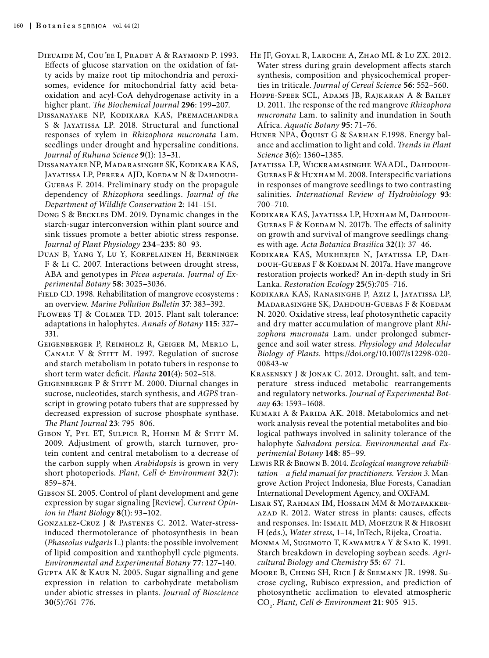- Dieuaide M, Cou*´*ee I, Pradet A & Raymond P. 1993. Effects of glucose starvation on the oxidation of fatty acids by maize root tip mitochondria and peroxisomes, evidence for mitochondrial fatty acid betaoxidation and acyl-CoA dehydrogenase activity in a higher plant. *The Biochemical Journal* **296**: 199–207.
- Dissanayake NP, Kodikara KAS, Premachandra S & JAYATISSA LP. 2018. Structural and functional responses of xylem in *Rhizophora mucronata* Lam. seedlings under drought and hypersaline conditions. *Journal of Ruhuna Science* **9**(1): 13–31.
- Dissanayake NP, Madarasinghe SK, Kodikara KAS, Jayatissa LP, Perera AJD, Koedam N & Dahdouh-Guebas F. 2014. Preliminary study on the propagule dependency of *Rhizophora* seedlings. *Journal of the Department of Wildlife Conservation* **2**: 141–151.
- Dong S & Beckles DM. 2019. Dynamic changes in the starch-sugar interconversion within plant source and sink tissues promote a better abiotic stress response. *Journal of Plant Physiology* **234–235**: 80–93.
- Duan B, Yang Y, Lu Y, Korpelainen H, Berninger F & Li C. 2007. Interactions between drought stress, ABA and genotypes in *Picea asperata*. *Journal of Experimental Botany* **58**: 3025–3036.
- FIELD CD. 1998. Rehabilitation of mangrove ecosystems : an overview. *Marine Pollution Bulletin* **37**: 383–392.
- Flowers TJ & Colmer TD. 2015. Plant salt tolerance: adaptations in halophytes. *Annals of Botany* **115**: 327– 331.
- Geigenberger P, Reimholz R, Geiger M, Merlo L, CANALE V & STITT M. 1997. Regulation of sucrose and starch metabolism in potato tubers in response to short term water deficit. *Planta* **201**(4): 502–518.
- GEIGENBERGER P & STITT M. 2000. Diurnal changes in sucrose, nucleotides, starch synthesis, and *AGPS* transcript in growing potato tubers that are suppressed by decreased expression of sucrose phosphate synthase. *The Plant Journal* **23**: 795–806.
- GIBON Y, PYL ET, SULPICE R, HOHNE M & STITT M. 2009. Adjustment of growth, starch turnover, protein content and central metabolism to a decrease of the carbon supply when *Arabidopsis* is grown in very short photoperiods. *Plant, Cell & Environment* **32**(7): 859–874.
- Gibson SI. 2005. Control of plant development and gene expression by sugar signaling [Review]. *Current Opinion in Plant Biology* **8**(1): 93–102.
- Gonzalez-Cruz J & Pastenes C. 2012. Water-stressinduced thermotolerance of photosynthesis in bean (*Phaseolus vulgaris* L.) plants: the possible involvement of lipid composition and xanthophyll cycle pigments. *Environmental and Experimental Botany* **77**: 127–140.
- GUPTA AK & KAUR N. 2005. Sugar signalling and gene expression in relation to carbohydrate metabolism under abiotic stresses in plants. *Journal of Bioscience*  **30**(5):761–776.
- He JF, Goyal R, Laroche A, Zhao ML & Lu ZX. 2012. Water stress during grain development affects starch synthesis, composition and physicochemical properties in triticale. *Journal of Cereal Science* **56**: 552–560.
- Hoppe-Speer SCL, Adams JB, Rajkaran A & Bailey D. 2011. The response of the red mangrove *Rhizophora mucronata* Lam. to salinity and inundation in South Africa. *Aquatic Botany* **95**: 71–76.
- Huner NPA, **Ö**quist G & Sarhan F.1998. Energy balance and acclimation to light and cold. *Trends in Plant Science* **3**(6): 1360–1385.
- JAYATISSA LP, WICKRAMASINGHE WAADL, DAHDOUH-Guebas F & Huxham M. 2008. [Interspecific variations](http://www.vub.ac.be/APNA/staff/FDG/pub/Jayatissaetal_2008_InternatRevHydrobiol.pdf) [in responses of mangrove seedlings to two contrasting](http://www.vub.ac.be/APNA/staff/FDG/pub/Jayatissaetal_2008_InternatRevHydrobiol.pdf) [salinities.](http://www.vub.ac.be/APNA/staff/FDG/pub/Jayatissaetal_2008_InternatRevHydrobiol.pdf) *International Review of Hydrobiology* **93**: 700–710.
- Kodikara KAS, Jayatissa LP, Huxham M, Dahdouh-GUEBAS F & KOEDAM N. 2017b. The effects of salinity on growth and survival of mangrove seedlings changes with age. *Acta Botanica Brasilica* **32**(1): 37–46.
- Kodikara KAS, Mukherjee N, Jayatissa LP, Dah-DOUH-GUEBAS F & KOEDAM N. 2017a. Have mangrove restoration projects worked? An in-depth study in Sri Lanka. *Restoration Ecology* **25**(5):705–716.
- Kodikara KAS, Ranasinghe P, Aziz I, Jayatissa LP, Madarasinghe SK, Dahdouh-Guebas F & Koedam N. 2020. Oxidative stress, leaf photosynthetic capacity and dry matter accumulation of mangrove plant *Rhizophora mucronata* Lam. under prolonged submergence and soil water stress. *Physiology and Molecular Biology of Plants.* [https://doi.org/10.1007/s12298-020-](https://doi.org/10.1007/s12298-020-00843-w) [00843-w](https://doi.org/10.1007/s12298-020-00843-w)
- Krasensky J & Jonak C. 2012. Drought, salt, and temperature stress-induced metabolic rearrangements and regulatory networks. *Journal of Experimental Botany* **63**: 1593–1608.
- KUMARI A & PARIDA AK. 2018. Metabolomics and network analysis reveal the potential metabolites and biological pathways involved in salinity tolerance of the halophyte *Salvadora persica*. *Environmental and Experimental Botany* **148**: 85–99.
- Lewis RR & Brown B. 2014. *Ecological mangrove rehabilitation – a field manual for practitioners. Version 3*. Mangrove Action Project Indonesia, Blue Forests, Canadian International Development Agency, and OXFAM.
- Lisar SY, Rahman IM, Hossain MM & Motafakker-AZAD R. 2012. Water stress in plants: causes, effects and responses. In: Ismail MD, MOFIZUR R & HIROSHI H (eds.), *Water stress*, 1–14, InTech, Rijeka, Croatia.
- Monma M, Sugimoto T, Kawamura Y & Saio K. 1991. Starch breakdown in developing soybean seeds. *Agricultural Biology and Chemistry* **55**: 67–71.
- Moore B, Cheng SH, Rice J & Seemann JR. 1998. Sucrose cycling, Rubisco expression, and prediction of photosynthetic acclimation to elevated atmospheric CO2 . *Plant, Cell & Environment* **21**: 905–915.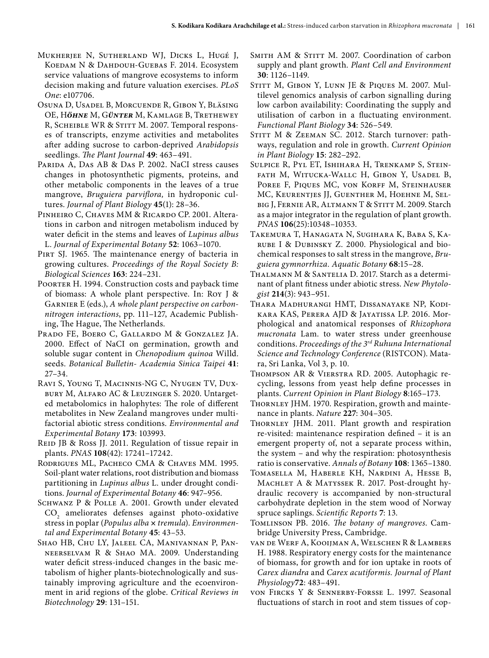- Mukherjee N, Sutherland WJ, Dicks L, Hugé J, Koedam N & Dahdouh-Guebas F. 2014. Ecosystem service valuations of mangrove ecosystems to inform decision making and future valuation exercises. *PLoS One*: e107706.
- Osuna D, Usadel B, Morcuende R, Gibon Y, Bläsing OE, H*öhne* M, G*ünter* M, Kamlage B, Trethewey R, SCHEIBLE WR & STITT M. 2007. Temporal responses of transcripts, enzyme activities and metabolites after adding sucrose to carbon-deprived *Arabidopsis*  seedlings. *The Plant Journal* **49**: 463–491.
- Parida A, Das AB & Das P. 2002. NaCI stress causes changes in photosynthetic pigments, proteins, and other metabolic components in the leaves of a true mangrove, *Bruguiera parviflora,* in hydroponic cultures. *Journal of Plant Biology* **45**(1): 28–36.
- Pinheiro C, Chaves MM & Ricardo CP. 2001. Alterations in carbon and nitrogen metabolism induced by water deficit in the stems and leaves of *Lupinus albus* L. *Journal of Experimental Botany* **52**: 1063–1070.
- PIRT SJ. 1965. The maintenance energy of bacteria in growing cultures. *Proceedings of the Royal Society B: Biological Sciences* **163**: 224–231.
- POORTER H. 1994. Construction costs and payback time of biomass: A whole plant perspective. In: Roy J & Garnier E (eds.), *A whole plant perspective on carbonnitrogen interactions*, pp. 111–127, Academic Publishing, The Hague, The Netherlands.
- Prado FE, Boero C, Gallardo M & Gonzalez JA. 2000. Effect of NaCI on germination, growth and soluble sugar content in *Chenopodium quinoa* Willd. seeds. *Botanical Bulletin- Academia Sinica Taipei* **41**: 27–34.
- Ravi S, Young T, Macinnis-NG C, Nyugen TV, Duxbury M, Alfaro AC & Leuzinger S. 2020. Untargeted metabolomics in halophytes: The role of different metabolites in New Zealand mangroves under multifactorial abiotic stress conditions. *Environmental and Experimental Botany* **173**: 103993.
- REID JB & Ross JJ. 2011. Regulation of tissue repair in plants. *PNAS* **108**(42): 17241–17242.
- Rodrigues ML, Pacheco CMA & Chaves MM. 1995. Soil-plant water relations, root distribution and biomass partitioning in *Lupinus albus* L. under drought conditions. *Journal of Experimental Botany* **46**: 947–956.
- SCHWANZ P & POLLE A. 2001. Growth under elevated  $\mathrm{CO}_2$  ameliorates defenses against photo-oxidative stress in poplar (*Populus alba* **×** *tremula*). *Environmental and Experimental Botany* **45**: 43–53.
- Shao HB, Chu LY, Jaleel CA, Manivannan P, Panneerselvam R & Shao MA. 2009. Understanding water deficit stress-induced changes in the basic metabolism of higher plants-biotechnologically and sustainably improving agriculture and the ecoenvironment in arid regions of the globe. *Critical Reviews in Biotechnology* **29**: 131–151.
- SMITH AM & STITT M. 2007. Coordination of carbon supply and plant growth. *Plant Cell and Environment*  **30**: 1126–1149.
- STITT M, GIBON Y, LUNN JE & PIQUES M, 2007. Multilevel genomics analysis of carbon signalling during low carbon availability: Coordinating the supply and utilisation of carbon in a fluctuating environment. *Functional Plant Biology* **34**: 526–549.
- STITT M & ZEEMAN SC. 2012. Starch turnover: pathways, regulation and role in growth. *Current Opinion in Plant Biology* **15**: 282–292.
- Sulpice R, Pyl ET, Ishihara H, Trenkamp S, Steinfath M, Witucka-Wallc H, Gibon Y, Usadel B, POREE F, PIQUES MC, VON KORFF M, STEINHAUSER MC, Keurentjes JJ, Guenther M, Hoehne M, Selbig J, Fernie AR, Altmann T & Stitt M. 2009. Starch as a major integrator in the regulation of plant growth. *PNAS* **106**(25):10348–10353.
- Takemura T, Hanagata N, Sugihara K, Baba S, Karube I & Dubinsky Z. 2000. Physiological and biochemical responses to salt stress in the mangrove, *Bruguiera gymnorrhiza. Aquatic Botany* **68**:15–28.
- Thalmann M & Santelia D. 2017. Starch as a determinant of plant fitness under abiotic stress. *New Phytologist* **214**(3): 943–951.
- Thara Madhurangi HMT, Dissanayake NP, Kodikara KAS, Perera AJD & Jayatissa LP. 2016. Morphological and anatomical responses of *Rhizophora mucronata* Lam. to water stress under greenhouse conditions. *Proceedings of the 3rd Ruhuna International Science and Technology Conference* (RISTCON). Matara, Sri Lanka, Vol 3, p. 10.
- Thompson AR & Vierstra RD. 2005. Autophagic recycling, lessons from yeast help define processes in plants. *Current Opinion in Plant Biology* **8**:165–173.
- THORNLEY JHM. 1970. Respiration, growth and maintenance in plants. *Nature* **227**: 304–305.
- THORNLEY JHM. 2011. Plant growth and respiration re-visited: maintenance respiration defined – it is an emergent property of, not a separate process within, the system – and why the respiration: photosynthesis ratio is conservative. *Annals of Botany* **108**: 1365–1380.
- Tomasella M, Haberle KH, Nardini A, Hesse B, Machlet A & Matyssek R. 2017. Post-drought hydraulic recovery is accompanied by non-structural carbohydrate depletion in the stem wood of Norway spruce saplings. *Scientific Reports* **7**: 13.
- Tomlinson PB. 2016. *The botany of mangroves*. Cambridge University Press, Cambridge.
- van de Werf A, Kooijman A, Welschen R & Lambers H. 1988. Respiratory energy costs for the maintenance of biomass, for growth and for ion uptake in roots of *Carex diandra* and *Carex acutiformis. Journal of Plant Physiology***72**: 483–491.
- von Fircks Y & Sennerby-Forsse L. 1997. Seasonal fluctuations of starch in root and stem tissues of cop-